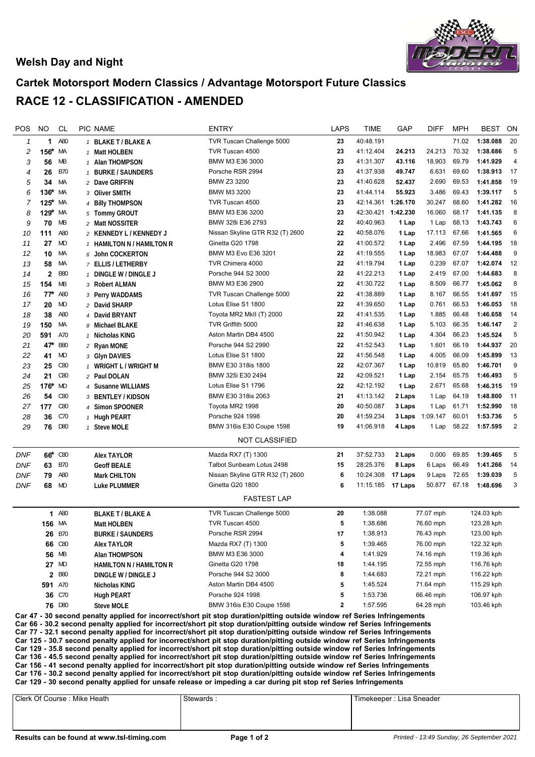

## **Welsh Day and Night**

## **Cartek Motorsport Modern Classics / Advantage Motorsport Future Classics RACE 12 - CLASSIFICATION - AMENDED**

| POS                                                                                                                                                                                                                                                                                                                                                                                                                                                                                                                                                                                                                                                                                                                                                                               | NO           | CL         |  | <b>PIC NAME</b>                | <b>ENTRY</b>                    | <b>LAPS</b>  | <b>TIME</b> | GAP      | <b>DIFF</b>     | <b>MPH</b> | <b>BEST</b> | ON             |
|-----------------------------------------------------------------------------------------------------------------------------------------------------------------------------------------------------------------------------------------------------------------------------------------------------------------------------------------------------------------------------------------------------------------------------------------------------------------------------------------------------------------------------------------------------------------------------------------------------------------------------------------------------------------------------------------------------------------------------------------------------------------------------------|--------------|------------|--|--------------------------------|---------------------------------|--------------|-------------|----------|-----------------|------------|-------------|----------------|
| $\mathcal I$                                                                                                                                                                                                                                                                                                                                                                                                                                                                                                                                                                                                                                                                                                                                                                      | 1            | A80        |  | 1 BLAKE T / BLAKE A            | TVR Tuscan Challenge 5000       | 23           | 40:48.191   |          |                 | 71.02      | 1:38.088    | 20             |
| 2                                                                                                                                                                                                                                                                                                                                                                                                                                                                                                                                                                                                                                                                                                                                                                                 | 156*         | МA         |  | 1 Matt HOLBEN                  | TVR Tuscan 4500                 | 23           | 41:12.404   | 24.213   | 24.213          | 70.32      | 1:38.686    | 5              |
| 3                                                                                                                                                                                                                                                                                                                                                                                                                                                                                                                                                                                                                                                                                                                                                                                 | 56           | MB         |  | 1 Alan THOMPSON                | BMW M3 E36 3000                 | 23           | 41:31.307   | 43.116   | 18.903          | 69.79      | 1:41.929    | 4              |
| 4                                                                                                                                                                                                                                                                                                                                                                                                                                                                                                                                                                                                                                                                                                                                                                                 | 26           | <b>B70</b> |  | 1 BURKE / SAUNDERS             | Porsche RSR 2994                | 23           | 41:37.938   | 49.747   | 6.631           | 69.60      | 1:38.913    | 17             |
| 5                                                                                                                                                                                                                                                                                                                                                                                                                                                                                                                                                                                                                                                                                                                                                                                 | 34           | МA         |  | 2 Dave GRIFFIN                 | BMW Z3 3200                     | 23           | 41:40.628   | 52.437   | 2.690           | 69.53      | 1:41.858    | 19             |
| 6                                                                                                                                                                                                                                                                                                                                                                                                                                                                                                                                                                                                                                                                                                                                                                                 | $136*$       | МA         |  | 3 Oliver SMITH                 | <b>BMW M3 3200</b>              | 23           | 41:44.114   | 55.923   | 3.486           | 69.43      | 1:39.117    | 5              |
| 7                                                                                                                                                                                                                                                                                                                                                                                                                                                                                                                                                                                                                                                                                                                                                                                 | $125*$       | МA         |  | 4 Billy THOMPSON               | TVR Tuscan 4500                 | 23           | 42:14.361   | 1:26.170 | 30.247          | 68.60      | 1:41.282    | 16             |
| 8                                                                                                                                                                                                                                                                                                                                                                                                                                                                                                                                                                                                                                                                                                                                                                                 | $129*$       | МA         |  | 5 Tommy GROUT                  | BMW M3 E36 3200                 | 23           | 42:30.421   | 1:42.230 | 16.060          | 68.17      | 1:41.135    | 8              |
| 9                                                                                                                                                                                                                                                                                                                                                                                                                                                                                                                                                                                                                                                                                                                                                                                 | 70           | МB         |  | 2 Matt NOSSITER                | BMW 328i E36 2793               | 22           | 40:40.963   | 1 Lap    | 1 Lap           | 68.13      | 1:43.743    | 6              |
| 10                                                                                                                                                                                                                                                                                                                                                                                                                                                                                                                                                                                                                                                                                                                                                                                | 111          | A80        |  | 2 KENNEDY L / KENNEDY J        | Nissan Skyline GTR R32 (T) 2600 | 22           | 40:58.076   | 1 Lap    | 17.113          | 67.66      | 1:41.565    | $6\phantom{1}$ |
| 11                                                                                                                                                                                                                                                                                                                                                                                                                                                                                                                                                                                                                                                                                                                                                                                | 27           | MD         |  | 1 HAMILTON N / HAMILTON R      | Ginetta G20 1798                | 22           | 41:00.572   | 1 Lap    | 2.496           | 67.59      | 1:44.195    | 18             |
| 12                                                                                                                                                                                                                                                                                                                                                                                                                                                                                                                                                                                                                                                                                                                                                                                | 10           | МA         |  | 6 John COCKERTON               | BMW M3 Evo E36 3201             | 22           | 41:19.555   | 1 Lap    | 18.983          | 67.07      | 1:44.488    | 9              |
| 13                                                                                                                                                                                                                                                                                                                                                                                                                                                                                                                                                                                                                                                                                                                                                                                | 58           | МA         |  | 7 ELLIS / LETHERBY             | TVR Chimera 4000                | 22           | 41:19.794   | 1 Lap    | 0.239           | 67.07      | 1:42.074    | 12             |
| 14                                                                                                                                                                                                                                                                                                                                                                                                                                                                                                                                                                                                                                                                                                                                                                                | $\mathbf{2}$ | <b>B80</b> |  | 1 DINGLE W / DINGLE J          | Porsche 944 S2 3000             | 22           | 41:22.213   | 1 Lap    | 2.419           | 67.00      | 1:44.683    | 8              |
| 15                                                                                                                                                                                                                                                                                                                                                                                                                                                                                                                                                                                                                                                                                                                                                                                | 154          | МB         |  | 3 Robert ALMAN                 | BMW M3 E36 2900                 | 22           | 41:30.722   | 1 Lap    | 8.509           | 66.77      | 1:45.062    | 8              |
| 16                                                                                                                                                                                                                                                                                                                                                                                                                                                                                                                                                                                                                                                                                                                                                                                | $77^*$       | A80        |  | 3 Perry WADDAMS                | TVR Tuscan Challenge 5000       | 22           | 41:38.889   | 1 Lap    | 8.167           | 66.55      | 1:41.697    | 15             |
| 17                                                                                                                                                                                                                                                                                                                                                                                                                                                                                                                                                                                                                                                                                                                                                                                | 20           | MD         |  | 2 David SHARP                  | Lotus Elise S1 1800             | 22           | 41:39.650   | 1 Lap    | 0.761           | 66.53      | 1:46.053    | 18             |
| 18                                                                                                                                                                                                                                                                                                                                                                                                                                                                                                                                                                                                                                                                                                                                                                                | 38           | A80        |  | 4 David BRYANT                 | Toyota MR2 MkII (T) 2000        | 22           | 41:41.535   | 1 Lap    | 1.885           | 66.48      | 1:46.658    | 14             |
| 19                                                                                                                                                                                                                                                                                                                                                                                                                                                                                                                                                                                                                                                                                                                                                                                | 150          | МA         |  | 8 Michael BLAKE                | TVR Griffith 5000               | 22           | 41:46.638   | 1 Lap    | 5.103           | 66.35      | 1:46.147    | $\sqrt{2}$     |
| 20                                                                                                                                                                                                                                                                                                                                                                                                                                                                                                                                                                                                                                                                                                                                                                                | 591          | A70        |  | 1 Nicholas KING                | Aston Martin DB4 4500           | 22           | 41:50.942   | 1 Lap    | 4.304           | 66.23      | 1:45.524    | 5              |
| 21                                                                                                                                                                                                                                                                                                                                                                                                                                                                                                                                                                                                                                                                                                                                                                                | 47*          | <b>B80</b> |  | 2 Ryan MONE                    | Porsche 944 S2 2990             | 22           | 41:52.543   | 1 Lap    | 1.601           | 66.19      | 1:44.937    | 20             |
| 22                                                                                                                                                                                                                                                                                                                                                                                                                                                                                                                                                                                                                                                                                                                                                                                | 41           | MD         |  | 3 Glyn DAVIES                  | Lotus Elise S1 1800             | 22           | 41:56.548   | 1 Lap    | 4.005           | 66.09      | 1:45.899    | 13             |
| 23                                                                                                                                                                                                                                                                                                                                                                                                                                                                                                                                                                                                                                                                                                                                                                                | 25           | C80        |  | 1 WRIGHT L / WRIGHT M          | BMW E30 318is 1800              | 22           | 42:07.367   | 1 Lap    | 10.819          | 65.80      | 1:46.701    | 9              |
| 24                                                                                                                                                                                                                                                                                                                                                                                                                                                                                                                                                                                                                                                                                                                                                                                | 21           | C80        |  | 2 Paul DOLAN                   | BMW 325i E30 2494               | 22           | 42:09.521   | 1 Lap    | 2.154           | 65.75      | 1:46.493    | 5              |
| 25                                                                                                                                                                                                                                                                                                                                                                                                                                                                                                                                                                                                                                                                                                                                                                                | 176*         | MD         |  | 4 Susanne WILLIAMS             | Lotus Elise S1 1796             | 22           | 42:12.192   | 1 Lap    | 2.671           | 65.68      | 1:46.315    | 19             |
| 26                                                                                                                                                                                                                                                                                                                                                                                                                                                                                                                                                                                                                                                                                                                                                                                | 54           | C80        |  | 3 BENTLEY / KIDSON             | BMW E30 318is 2063              | 21           | 41:13.142   | 2 Laps   | 1 Lap           | 64.19      | 1:48.800    | 11             |
| 27                                                                                                                                                                                                                                                                                                                                                                                                                                                                                                                                                                                                                                                                                                                                                                                | 177          | C80        |  | 4 Simon SPOONER                | Toyota MR2 1998                 | 20           | 40:50.087   | 3 Laps   | 1 Lap           | 61.71      | 1:52.990    | 18             |
| 28                                                                                                                                                                                                                                                                                                                                                                                                                                                                                                                                                                                                                                                                                                                                                                                | 36           | C70        |  | 1 Hugh PEART                   | Porsche 924 1998                | 20           | 41:59.234   |          | 3 Laps 1:09.147 | 60.01      | 1:53.736    | 5              |
| 29                                                                                                                                                                                                                                                                                                                                                                                                                                                                                                                                                                                                                                                                                                                                                                                | 76           | D80        |  | 1 Steve MOLE                   | BMW 316is E30 Coupe 1598        | 19           | 41:06.918   | 4 Laps   | 1 Lap           | 58.22      | 1:57.595    | 2              |
|                                                                                                                                                                                                                                                                                                                                                                                                                                                                                                                                                                                                                                                                                                                                                                                   |              |            |  |                                | <b>NOT CLASSIFIED</b>           |              |             |          |                 |            |             |                |
| <b>DNF</b>                                                                                                                                                                                                                                                                                                                                                                                                                                                                                                                                                                                                                                                                                                                                                                        |              | 66* C80    |  | <b>Alex TAYLOR</b>             | Mazda RX7 (T) 1300              | 21           | 37:52.733   | 2 Laps   | 0.000           | 69.85      | 1:39.465    | 5              |
| <b>DNF</b>                                                                                                                                                                                                                                                                                                                                                                                                                                                                                                                                                                                                                                                                                                                                                                        | 63           | <b>B70</b> |  | <b>Geoff BEALE</b>             | Talbot Sunbeam Lotus 2498       | 15           | 28:25.376   | 8 Laps   | 6 Laps          | 66.49      | 1:41.266    | 14             |
| DNF                                                                                                                                                                                                                                                                                                                                                                                                                                                                                                                                                                                                                                                                                                                                                                               | 79           | A80        |  | <b>Mark CHILTON</b>            | Nissan Skyline GTR R32 (T) 2600 | 6            | 10:24.308   | 17 Laps  | 9 Laps          | 72.65      | 1:39.039    | 5              |
| DNF                                                                                                                                                                                                                                                                                                                                                                                                                                                                                                                                                                                                                                                                                                                                                                               | 68           | MD         |  | Luke PLUMMER                   | Ginetta G20 1800                | 6            | 11:15.185   | 17 Laps  | 50.877          | 67.18      | 1:48.696    | 3              |
|                                                                                                                                                                                                                                                                                                                                                                                                                                                                                                                                                                                                                                                                                                                                                                                   |              |            |  |                                | <b>FASTEST LAP</b>              |              |             |          |                 |            |             |                |
|                                                                                                                                                                                                                                                                                                                                                                                                                                                                                                                                                                                                                                                                                                                                                                                   |              | 1 A80      |  | <b>BLAKE T / BLAKE A</b>       | TVR Tuscan Challenge 5000       | 20           | 1:38.088    |          | 77.07 mph       |            | 124.03 kph  |                |
|                                                                                                                                                                                                                                                                                                                                                                                                                                                                                                                                                                                                                                                                                                                                                                                   | 156 MA       |            |  | Matt HOLBEN                    | TVR Tuscan 4500                 | 5            | 1:38.686    |          | 76.60 mph       | 123.28 kph |             |                |
|                                                                                                                                                                                                                                                                                                                                                                                                                                                                                                                                                                                                                                                                                                                                                                                   |              | 26 B70     |  | <b>BURKE / SAUNDERS</b>        | Porsche RSR 2994                | 17           | 1:38.913    |          | 76.43 mph       | 123.00 kph |             |                |
|                                                                                                                                                                                                                                                                                                                                                                                                                                                                                                                                                                                                                                                                                                                                                                                   |              | 66 C80     |  | Alex TAYLOR                    | Mazda RX7 (T) 1300              | 5            | 1:39.465    |          | 76.00 mph       | 122.32 kph |             |                |
|                                                                                                                                                                                                                                                                                                                                                                                                                                                                                                                                                                                                                                                                                                                                                                                   |              | 56 MB      |  | Alan THOMPSON                  | BMW M3 E36 3000                 | 4            | 1:41.929    |          | 74.16 mph       |            | 119.36 kph  |                |
|                                                                                                                                                                                                                                                                                                                                                                                                                                                                                                                                                                                                                                                                                                                                                                                   |              | 27 MD      |  | <b>HAMILTON N / HAMILTON R</b> | Ginetta G20 1798                | 18           | 1:44.195    |          | 72.55 mph       | 116.76 kph |             |                |
|                                                                                                                                                                                                                                                                                                                                                                                                                                                                                                                                                                                                                                                                                                                                                                                   |              | 2 B80      |  | DINGLE W / DINGLE J            | Porsche 944 S2 3000             | 8            | 1:44.683    |          | 72.21 mph       |            | 116.22 kph  |                |
|                                                                                                                                                                                                                                                                                                                                                                                                                                                                                                                                                                                                                                                                                                                                                                                   | 591 A70      |            |  | Nicholas KING                  | Aston Martin DB4 4500           | 5            | 1:45.524    |          | 71.64 mph       |            | 115.29 kph  |                |
|                                                                                                                                                                                                                                                                                                                                                                                                                                                                                                                                                                                                                                                                                                                                                                                   |              | 36 C70     |  | <b>Hugh PEART</b>              | Porsche 924 1998                | 5            | 1:53.736    |          | 66.46 mph       |            | 106.97 kph  |                |
|                                                                                                                                                                                                                                                                                                                                                                                                                                                                                                                                                                                                                                                                                                                                                                                   |              | 76 D80     |  | <b>Steve MOLE</b>              | BMW 316is E30 Coupe 1598        | $\mathbf{2}$ | 1:57.595    |          | 64.28 mph       |            | 103.46 kph  |                |
| Car 47 - 30 second penalty applied for incorrect/short pit stop duration/pitting outside window ref Series Infringements<br>Car 66 - 30.2 second penalty applied for incorrect/short pit stop duration/pitting outside window ref Series Infringements<br>Car 77 - 32.1 second penalty applied for incorrect/short pit stop duration/pitting outside window ref Series Infringements<br>Car 125 - 30.7 second penalty applied for incorrect/short pit stop duration/pitting outside window ref Series Infringements<br>Car 129 - 35.8 second penalty applied for incorrect/short pit stop duration/pitting outside window ref Series Infringements<br>Car 136 - 45.5 second penalty applied for incorrect/short pit stop duration/pitting outside window ref Series Infringements |              |            |  |                                |                                 |              |             |          |                 |            |             |                |

**Car 156 - 41 second penalty applied for incorrect/short pit stop duration/pitting outside window ref Series Infringements Car 176 - 30.2 second penalty applied for incorrect/short pit stop duration/pitting outside window ref Series Infringements Car 129 - 30 second penalty applied for unsafe release or impeding a car during pit stop ref Series Infringements**

Clerk Of Course : Mike Heath Stewards : Stewards : Timekeeper : Lisa Sneader